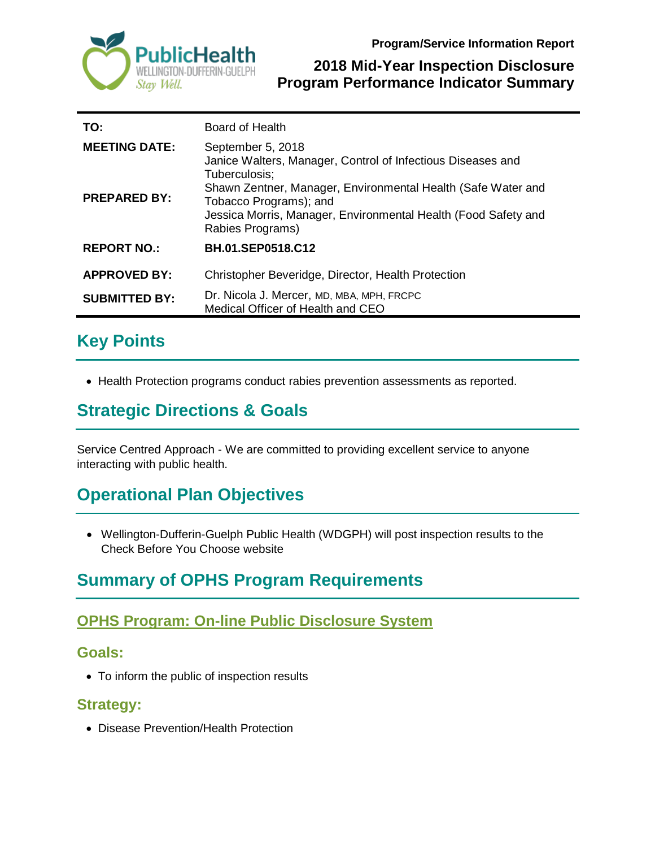



#### **2018 Mid-Year Inspection Disclosure Program Performance Indicator Summary**

| TO:                  | Board of Health                                                                                                                                                              |
|----------------------|------------------------------------------------------------------------------------------------------------------------------------------------------------------------------|
| <b>MEETING DATE:</b> | September 5, 2018<br>Janice Walters, Manager, Control of Infectious Diseases and<br>Tuberculosis;                                                                            |
| <b>PREPARED BY:</b>  | Shawn Zentner, Manager, Environmental Health (Safe Water and<br>Tobacco Programs); and<br>Jessica Morris, Manager, Environmental Health (Food Safety and<br>Rabies Programs) |
| <b>REPORT NO.:</b>   | <b>BH.01.SEP0518.C12</b>                                                                                                                                                     |
| <b>APPROVED BY:</b>  | Christopher Beveridge, Director, Health Protection                                                                                                                           |
| <b>SUBMITTED BY:</b> | Dr. Nicola J. Mercer, MD, MBA, MPH, FRCPC<br>Medical Officer of Health and CEO                                                                                               |

# **Key Points**

• Health Protection programs conduct rabies prevention assessments as reported.

## **Strategic Directions & Goals**

Service Centred Approach - We are committed to providing excellent service to anyone interacting with public health.

## **Operational Plan Objectives**

• Wellington-Dufferin-Guelph Public Health (WDGPH) will post inspection results to the Check Before You Choose website

# **Summary of OPHS Program Requirements**

### **OPHS Program: On-line Public Disclosure System**

#### **Goals:**

• To inform the public of inspection results

#### **Strategy:**

• Disease Prevention/Health Protection